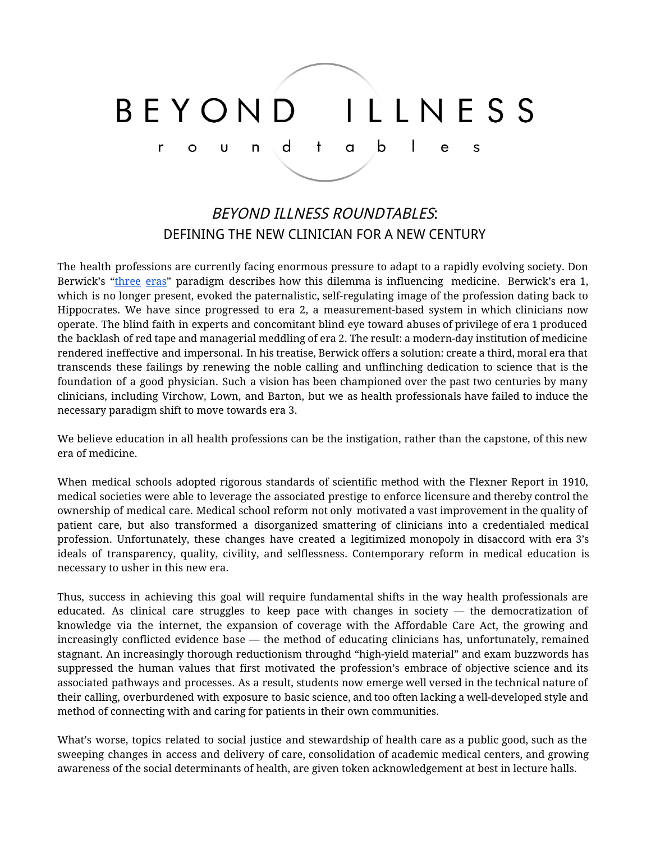#### ILLNESS BFYOND a b d  $\mathbf{I}$  $\ddagger$ r  $\cup$ n e S O

# BEYOND ILLNESS ROUNDTABLES: DEFINING THE NEW CLINICIAN FOR A NEW CENTURY

The health professions are currently facing enormous pressure to adapt to a rapidly evolving society. Don Berwick's ["three](http://jama.jamanetwork.com/article.aspx?articleid=2499845) eras" paradigm describes how this dilemma is influencing medicine. Berwick's era 1, which is no longer present, evoked the paternalistic, self-regulating image of the profession dating back to Hippocrates. We have since progressed to era 2, a measurement-based system in which clinicians now operate. The blind faith in experts and concomitant blind eye toward abuses of privilege of era 1 produced the backlash of red tape and managerial meddling of era 2. The result: a modern-day institution of medicine rendered ineffective and impersonal. In his treatise, Berwick offers a solution: create a third, moral era that transcends these failings by renewing the noble calling and unflinching dedication to science that is the foundation of a good physician. Such a vision has been championed over the past two centuries by many clinicians, including Virchow, Lown, and Barton, but we as health professionals have failed to induce the necessary paradigm shift to move towards era 3.

We believe education in all health professions can be the instigation, rather than the capstone, of this new era of medicine.

When medical schools adopted rigorous standards of scientific method with the Flexner Report in 1910, medical societies were able to leverage the associated prestige to enforce licensure and thereby control the ownership of medical care. Medical school reform not only motivated a vast improvement in the quality of patient care, but also transformed a disorganized smattering of clinicians into a credentialed medical profession. Unfortunately, these changes have created a legitimized monopoly in disaccord with era 3's ideals of transparency, quality, civility, and selflessness. Contemporary reform in medical education is necessary to usher in this new era.

Thus, success in achieving this goal will require fundamental shifts in the way health professionals are educated. As clinical care struggles to keep pace with changes in society  $-$  the democratization of knowledge via the internet, the expansion of coverage with the Affordable Care Act, the growing and increasingly conflicted evidence base  $-$  the method of educating clinicians has, unfortunately, remained stagnant. An increasingly thorough reductionism throughd "high-yield material" and exam buzzwords has suppressed the human values that first motivated the profession's embrace of objective science and its associated pathways and processes. As a result, students now emerge well versed in the technical nature of their calling, overburdened with exposure to basic science, and too often lacking a well-developed style and method of connecting with and caring for patients in their own communities.

What's worse, topics related to social justice and stewardship of health care as a public good, such as the sweeping changes in access and delivery of care, consolidation of academic medical centers, and growing awareness of the social determinants of health, are given token acknowledgement at best in lecture halls.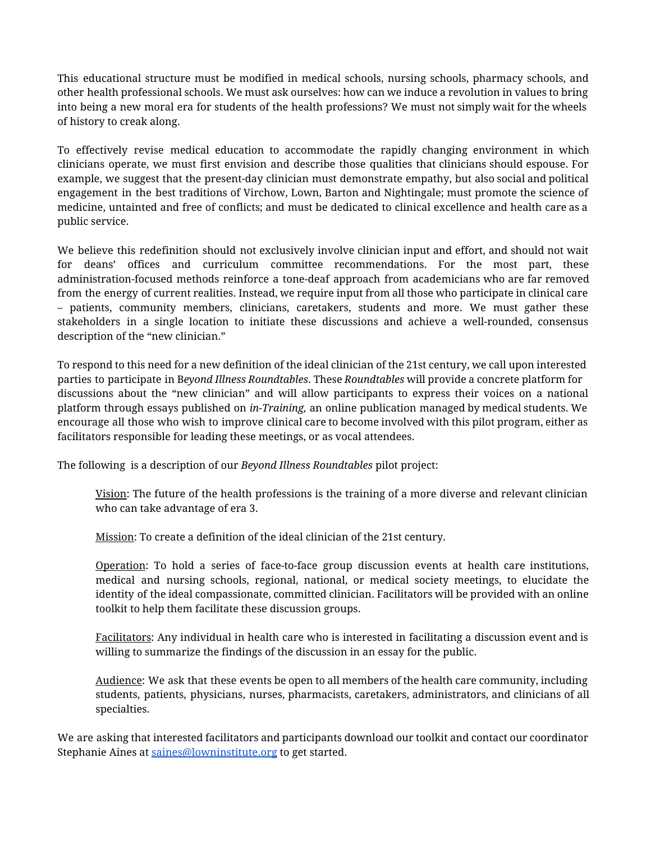This educational structure must be modified in medical schools, nursing schools, pharmacy schools, and other health professional schools. We must ask ourselves: how can we induce a revolution in values to bring into being a new moral era for students of the health professions? We must not simply wait for the wheels of history to creak along.

To effectively revise medical education to accommodate the rapidly changing environment in which clinicians operate, we must first envision and describe those qualities that clinicians should espouse. For example, we suggest that the present-day clinician must demonstrate empathy, but also social and political engagement in the best traditions of Virchow, Lown, Barton and Nightingale; must promote the science of medicine, untainted and free of conflicts; and must be dedicated to clinical excellence and health care as a public service.

We believe this redefinition should not exclusively involve clinician input and effort, and should not wait for deans' offices and curriculum committee recommendations. For the most part, these administration-focused methods reinforce a tone-deaf approach from academicians who are far removed from the energy of current realities. Instead, we require input from all those who participate in clinical care – patients, community members, clinicians, caretakers, students and more. We must gather these stakeholders in a single location to initiate these discussions and achieve a well-rounded, consensus description of the "new clinician."

To respond to this need for a new definition of the ideal clinician of the 21st century, we call upon interested parties to participate in B*eyond Illness Roundtables*. These *Roundtables* will provide a concrete platform for discussions about the "new clinician" and will allow participants to express their voices on a national platform through essays published on *in-Training,* an online publication managed by medical students. We encourage all those who wish to improve clinical care to become involved with this pilot program, either as facilitators responsible for leading these meetings, or as vocal attendees.

The following is a description of our *Beyond Illness Roundtables* pilot project:

Vision: The future of the health professions is the training of a more diverse and relevant clinician who can take advantage of era 3.

Mission: To create a definition of the ideal clinician of the 21st century.

Operation: To hold a series of face-to-face group discussion events at health care institutions, medical and nursing schools, regional, national, or medical society meetings, to elucidate the identity of the ideal compassionate, committed clinician. Facilitators will be provided with an online toolkit to help them facilitate these discussion groups.

Facilitators: Any individual in health care who is interested in facilitating a discussion event and is willing to summarize the findings of the discussion in an essay for the public.

Audience: We ask that these events be open to all members of the health care community, including students, patients, physicians, nurses, pharmacists, caretakers, administrators, and clinicians of all specialties.

We are asking that interested facilitators and participants download our toolkit and contact our coordinator Stephanie Aines at [saines@lowninstitute.org](mailto:saines@lowninstitute.org) to get started.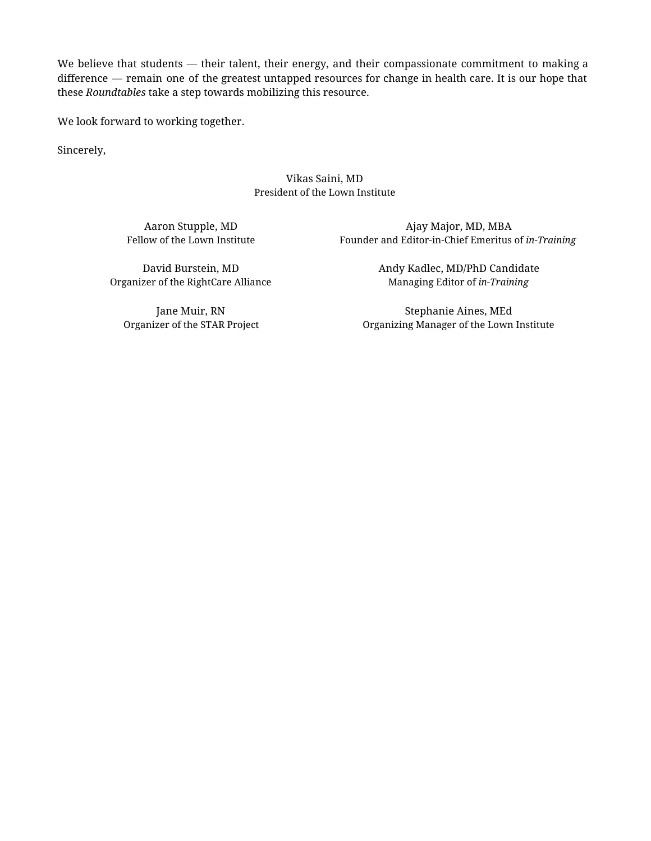We believe that students — their talent, their energy, and their compassionate commitment to making a difference — remain one of the greatest untapped resources for change in health care. It is our hope that these *Roundtables* take a step towards mobilizing this resource.

We look forward to working together.

Sincerely,

### Vikas Saini, MD President of the Lown Institute

Aaron Stupple, MD Fellow of the Lown Institute

Ajay Major, MD, MBA Founder and Editor-in-Chief Emeritus of *in-Training*

David Burstein, MD Organizer of the RightCare Alliance

Jane Muir, RN Organizer of the STAR Project Andy Kadlec, MD/PhD Candidate Managing Editor of *in-Training*

Stephanie Aines, MEd Organizing Manager of the Lown Institute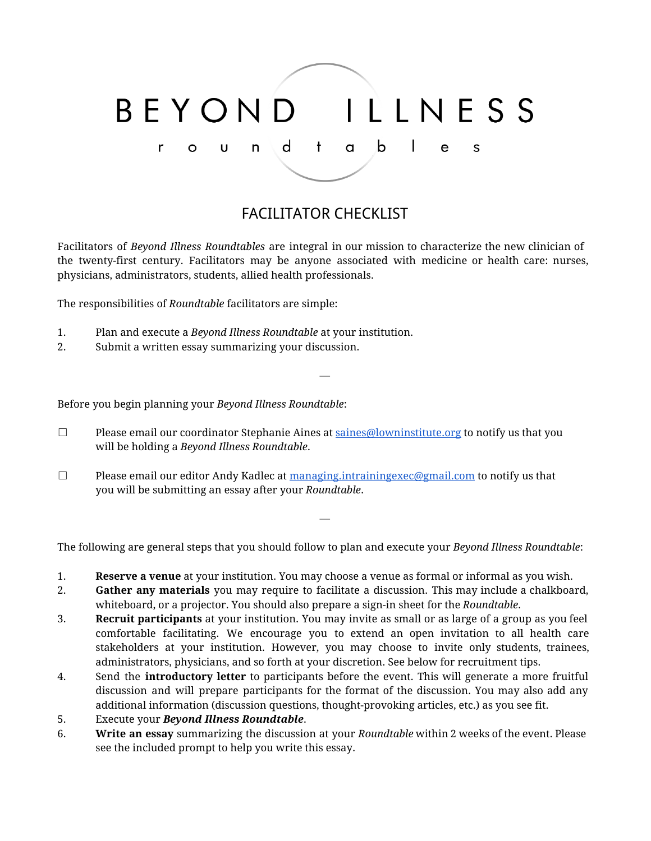#### ILLNESS BEYOND a b  $\mathbf{I}$ d  $\mathbf{f}$ r n e S U O

# FACILITATOR CHECKLIST

Facilitators of *Beyond Illness Roundtables* are integral in our mission to characterize the new clinician of the twenty-first century. Facilitators may be anyone associated with medicine or health care: nurses, physicians, administrators, students, allied health professionals.

—

The responsibilities of *Roundtable* facilitators are simple:

- 1. Plan and execute a *Beyond Illness Roundtable* at your institution.
- 2. Submit a written essay summarizing your discussion.

Before you begin planning your *Beyond Illness Roundtable*:

- $\Box$  Please email our coordinator Stephanie Aines at  $\frac{0}{\text{values}}$  box  $\frac{1}{\text{values}}$  to notify us that you will be holding a *Beyond Illness Roundtable*.
- $\Box$  Please email our editor Andy Kadlec at [managing.intrainingexec@gmail.com](mailto:managing.intrainingexec@gmail.com) to notify us that you will be submitting an essay after your *Roundtable*.

The following are general steps that you should follow to plan and execute your *Beyond Illness Roundtable*:

—

- 1. **Reserve a venue**at your institution. You may choose a venue as formal or informal as you wish.
- 2. **Gather any materials** you may require to facilitate a discussion. This may include a chalkboard, whiteboard, or a projector. You should also prepare a sign-in sheet for the *Roundtable*.
- 3. **Recruit participants** at your institution. You may invite as small or as large of a group as you feel comfortable facilitating. We encourage you to extend an open invitation to all health care stakeholders at your institution. However, you may choose to invite only students, trainees, administrators, physicians, and so forth at your discretion. See below for recruitment tips.
- 4. Send the **introductory letter** to participants before the event. This will generate a more fruitful discussion and will prepare participants for the format of the discussion. You may also add any additional information (discussion questions, thought-provoking articles, etc.) as you see fit.
- 5. Execute your *Beyond Illness Roundtable*.
- 6. **Write an essay** summarizing the discussion at your *Roundtable* within 2 weeks of the event. Please see the included prompt to help you write this essay.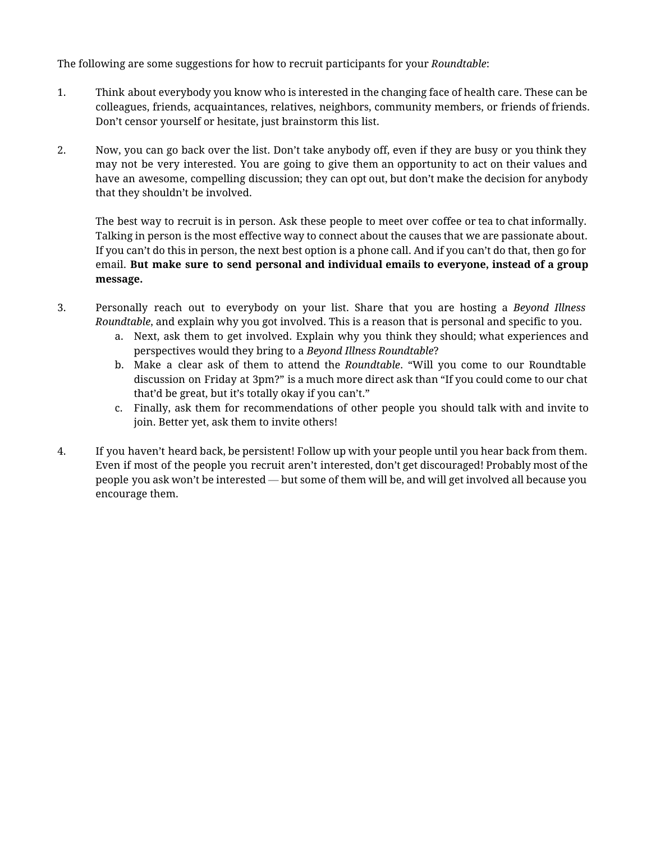The following are some suggestions for how to recruit participants for your *Roundtable*:

- 1. Think about everybody you know who is interested in the changing face of health care. These can be colleagues, friends, acquaintances, relatives, neighbors, community members, or friends of friends. Don't censor yourself or hesitate, just brainstorm this list.
- 2. Now, you can go back over the list. Don't take anybody off, even if they are busy or you think they may not be very interested. You are going to give them an opportunity to act on their values and have an awesome, compelling discussion; they can opt out, but don't make the decision for anybody that they shouldn't be involved.

The best way to recruit is in person. Ask these people to meet over coffee or tea to chat informally. Talking in person is the most effective way to connect about the causes that we are passionate about. If you can't do this in person, the next best option is a phone call. And if you can't do that, then go for email. **But make sure to send personal and individual emails to everyone, instead of a group message.**

- 3. Personally reach out to everybody on your list. Share that you are hosting a *Beyond Illness Roundtable*, and explain why you got involved. This is a reason that is personal and specific to you.
	- a. Next, ask them to get involved. Explain why you think they should; what experiences and perspectives would they bring to a *Beyond Illness Roundtable*?
	- b. Make a clear ask of them to attend the *Roundtable*. "Will you come to our Roundtable discussion on Friday at 3pm?" is a much more direct ask than "If you could come to our chat that'd be great, but it's totally okay if you can't."
	- c. Finally, ask them for recommendations of other people you should talk with and invite to join. Better yet, ask them to invite others!
- 4. If you haven't heard back, be persistent! Follow up with your people until you hear back from them. Even if most of the people you recruit aren't interested, don't get discouraged! Probably most of the people you ask won't be interested — but some of them will be, and will get involved all because you encourage them.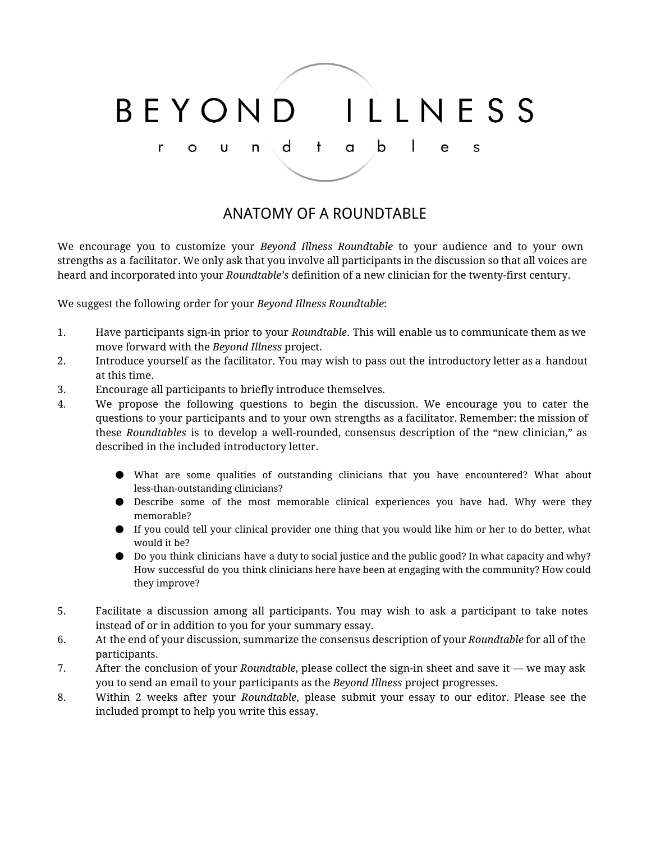#### ILLNESS BEYOND a b  $\mathsf{d}$  $\blacksquare$  $\mathbf{t}$  $\mathsf{r}$  $\mathsf{U}$  $\mathsf{n}$  $\mathsf{e}$ S  $\circ$

### ANATOMY OF A ROUNDTABLE

We encourage you to customize your *Beyond Illness Roundtable* to your audience and to your own strengths as a facilitator. We only ask that you involve all participants in the discussion so that all voices are heard and incorporated into your *Roundtable's* definition of a new clinician for the twenty-first century.

We suggest the following order for your *Beyond Illness Roundtable*:

- 1. Have participants sign-in prior to your *Roundtable*. This will enable us to communicate them as we move forward with the *Beyond Illness* project.
- 2. Introduce yourself as the facilitator. You may wish to pass out the introductory letter as a handout at this time.
- 3. Encourage all participants to briefly introduce themselves.
- 4. We propose the following questions to begin the discussion. We encourage you to cater the questions to your participants and to your own strengths as a facilitator. Remember: the mission of these *Roundtables* is to develop a well-rounded, consensus description of the "new clinician," as described in the included introductory letter.
	- What are some qualities of outstanding clinicians that you have encountered? What about less-than-outstanding clinicians?
	- Describe some of the most memorable clinical experiences you have had. Why were they memorable?
	- If you could tell your clinical provider one thing that you would like him or her to do better, what would it be?
	- Do you think clinicians have a duty to social justice and the public good? In what capacity and why? How successful do you think clinicians here have been at engaging with the community? How could they improve?
- 5. Facilitate a discussion among all participants. You may wish to ask a participant to take notes instead of or in addition to you for your summary essay.
- 6. At the end of your discussion, summarize the consensus description of your *Roundtable* for all of the participants.
- 7. After the conclusion of your *Roundtable*, please collect the sign-in sheet and save it we may ask you to send an email to your participants as the *Beyond Illness* project progresses.
- 8. Within 2 weeks after your *Roundtable*, please submit your essay to our editor. Please see the included prompt to help you write this essay.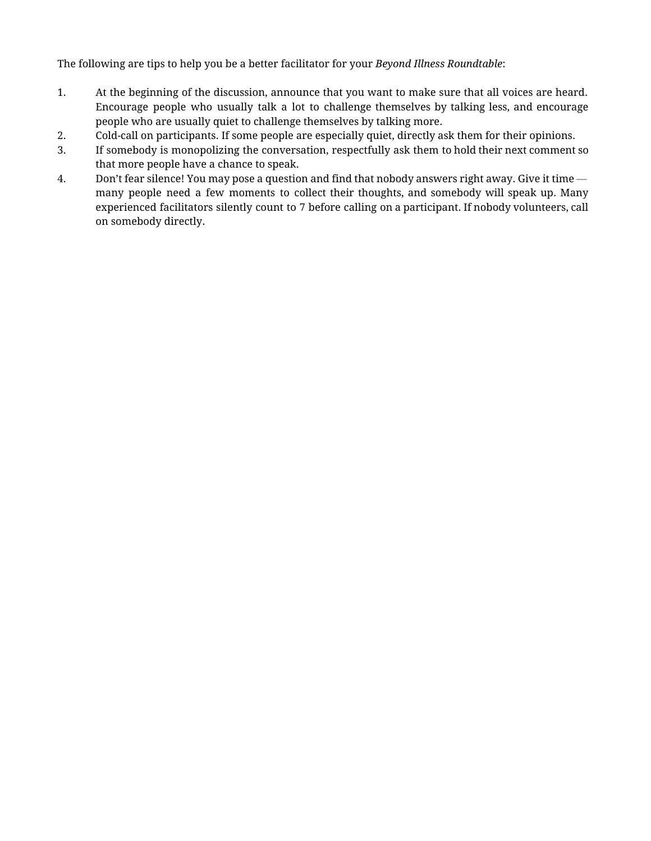The following are tips to help you be a better facilitator for your *Beyond Illness Roundtable*:

- 1. At the beginning of the discussion, announce that you want to make sure that all voices are heard. Encourage people who usually talk a lot to challenge themselves by talking less, and encourage people who are usually quiet to challenge themselves by talking more.
- 2. Cold-call on participants. If some people are especially quiet, directly ask them for their opinions.
- 3. If somebody is monopolizing the conversation, respectfully ask them to hold their next comment so that more people have a chance to speak.
- 4. Don't fear silence! You may pose a question and find that nobody answers right away. Give it time many people need a few moments to collect their thoughts, and somebody will speak up. Many experienced facilitators silently count to 7 before calling on a participant. If nobody volunteers, call on somebody directly.